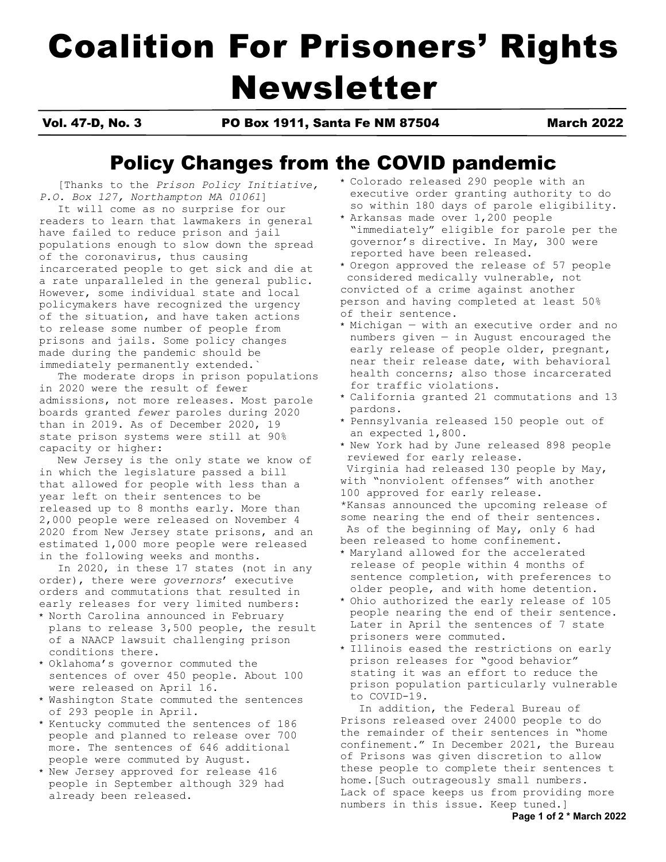# Coalition For Prisoners' Rights Newsletter

Vol. 47-D, No. 3 PO Box 1911, Santa Fe NM 87504 March 2022

# Policy Changes from the COVID pandemic

[Thanks to the *Prison Policy Initiative, P.O. Box 127, Northampton MA 01061*]

 It will come as no surprise for our readers to learn that lawmakers in general have failed to reduce prison and jail populations enough to slow down the spread of the coronavirus, thus causing incarcerated people to get sick and die at a rate unparalleled in the general public. However, some individual state and local policymakers have recognized the urgency of the situation, and have taken actions to release some number of people from prisons and jails. Some policy changes made during the pandemic should be immediately permanently extended.

 The moderate drops in prison populations in 2020 were the result of fewer admissions, not more releases. Most parole boards granted *fewer* paroles during 2020 than in 2019. As of December 2020, 19 state prison systems were still at 90% capacity or higher:

 New Jersey is the only state we know of in which the legislature passed a bill that allowed for people with less than a year left on their sentences to be released up to 8 months early. More than 2,000 people were released on November 4 2020 from New Jersey state prisons, and an estimated 1,000 more people were released in the following weeks and months.

 In 2020, in these 17 states (not in any order), there were *governors*' executive orders and commutations that resulted in early releases for very limited numbers:

- \* North Carolina announced in February plans to release 3,500 people, the result of a NAACP lawsuit challenging prison conditions there.
- \* Oklahoma's governor commuted the sentences of over 450 people. About 100 were released on April 16.
- \* Washington State commuted the sentences of 293 people in April.
- \* Kentucky commuted the sentences of 186 people and planned to release over 700 more. The sentences of 646 additional people were commuted by August.
- \* New Jersey approved for release 416 people in September although 329 had already been released.
- \* Colorado released 290 people with an executive order granting authority to do so within 180 days of parole eligibility.
- Arkansas made over 1,200 people "immediately" eligible for parole per the governor's directive. In May, 300 were reported have been released.
- \* Oregon approved the release of 57 people considered medically vulnerable, not convicted of a crime against another person and having completed at least 50% of their sentence.
- \* Michigan with an executive order and no numbers given — in August encouraged the early release of people older, pregnant, near their release date, with behavioral health concerns; also those incarcerated for traffic violations.
- \* California granted 21 commutations and 13 pardons.
- \* Pennsylvania released 150 people out of an expected 1,800.
- \* New York had by June released 898 people reviewed for early release.
- Virginia had released 130 people by May, with "nonviolent offenses" with another 100 approved for early release. \*Kansas announced the upcoming release of some nearing the end of their sentences. As of the beginning of May, only 6 had
- been released to home confinement.
- \* Maryland allowed for the accelerated release of people within 4 months of sentence completion, with preferences to older people, and with home detention.
- \* Ohio authorized the early release of 105 people nearing the end of their sentence. Later in April the sentences of 7 state prisoners were commuted.
- \* Illinois eased the restrictions on early prison releases for "good behavior" stating it was an effort to reduce the prison population particularly vulnerable to COVID-19.

 In addition, the Federal Bureau of Prisons released over 24000 people to do the remainder of their sentences in "home confinement." In December 2021, the Bureau of Prisons was given discretion to allow these people to complete their sentences t home.[Such outrageously small numbers. Lack of space keeps us from providing more numbers in this issue. Keep tuned.]